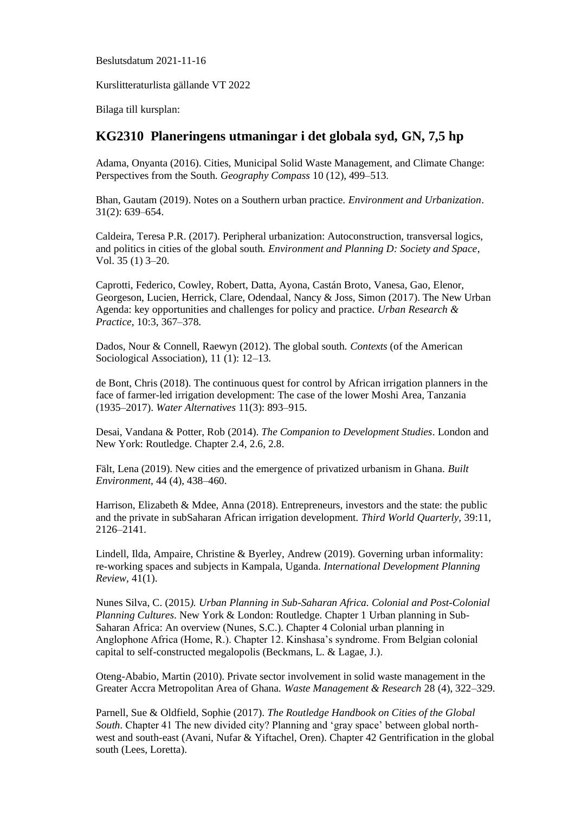Beslutsdatum 2021-11-16

Kurslitteraturlista gällande VT 2022

Bilaga till kursplan:

## **KG2310 Planeringens utmaningar i det globala syd, GN, 7,5 hp**

Adama, Onyanta (2016). Cities, Municipal Solid Waste Management, and Climate Change: Perspectives from the South. *Geography Compass* 10 (12), 499–513.

Bhan, Gautam (2019). Notes on a Southern urban practice. *Environment and Urbanization*. 31(2): 639–654.

Caldeira, Teresa P.R. (2017). Peripheral urbanization: Autoconstruction, transversal logics, and politics in cities of the global south*. Environment and Planning D: Society and Space*, Vol. 35 (1) 3–20.

Caprotti, Federico, Cowley, Robert, Datta, Ayona, Castán Broto, Vanesa, Gao, Elenor, Georgeson, Lucien, Herrick, Clare, Odendaal, Nancy & Joss, Simon (2017). The New Urban Agenda: key opportunities and challenges for policy and practice. *Urban Research & Practice*, 10:3, 367–378.

Dados, Nour & Connell, Raewyn (2012). The global south. *Contexts* (of the American Sociological Association), 11 (1): 12–13.

de Bont, Chris (2018). The continuous quest for control by African irrigation planners in the face of farmer-led irrigation development: The case of the lower Moshi Area, Tanzania (1935–2017). *Water Alternatives* 11(3): 893–915.

Desai, Vandana & Potter, Rob (2014). *The Companion to Development Studies*. London and New York: Routledge. Chapter 2.4, 2.6, 2.8.

Fält, Lena (2019). New cities and the emergence of privatized urbanism in Ghana*. Built Environment,* 44 (4), 438–460.

Harrison, Elizabeth & Mdee, Anna (2018). Entrepreneurs, investors and the state: the public and the private in subSaharan African irrigation development. *Third World Quarterly,* 39:11, 2126–2141.

Lindell, Ilda, Ampaire, Christine & Byerley, Andrew (2019). Governing urban informality: re-working spaces and subjects in Kampala, Uganda. *International Development Planning Review,* 41(1).

Nunes Silva, C. (2015*). Urban Planning in Sub-Saharan Africa. Colonial and Post-Colonial Planning Cultures*. New York & London: Routledge. Chapter 1 Urban planning in Sub-Saharan Africa: An overview (Nunes, S.C.). Chapter 4 Colonial urban planning in Anglophone Africa (Home, R.). Chapter 12. Kinshasa's syndrome. From Belgian colonial capital to self-constructed megalopolis (Beckmans, L. & Lagae, J.).

Oteng-Ababio, Martin (2010). Private sector involvement in solid waste management in the Greater Accra Metropolitan Area of Ghana. *Waste Management & Research* 28 (4), 322–329.

Parnell, Sue & Oldfield, Sophie (2017). *The Routledge Handbook on Cities of the Global South.* Chapter 41 The new divided city? Planning and 'gray space' between global northwest and south-east (Avani, Nufar & Yiftachel, Oren). Chapter 42 Gentrification in the global south (Lees, Loretta).